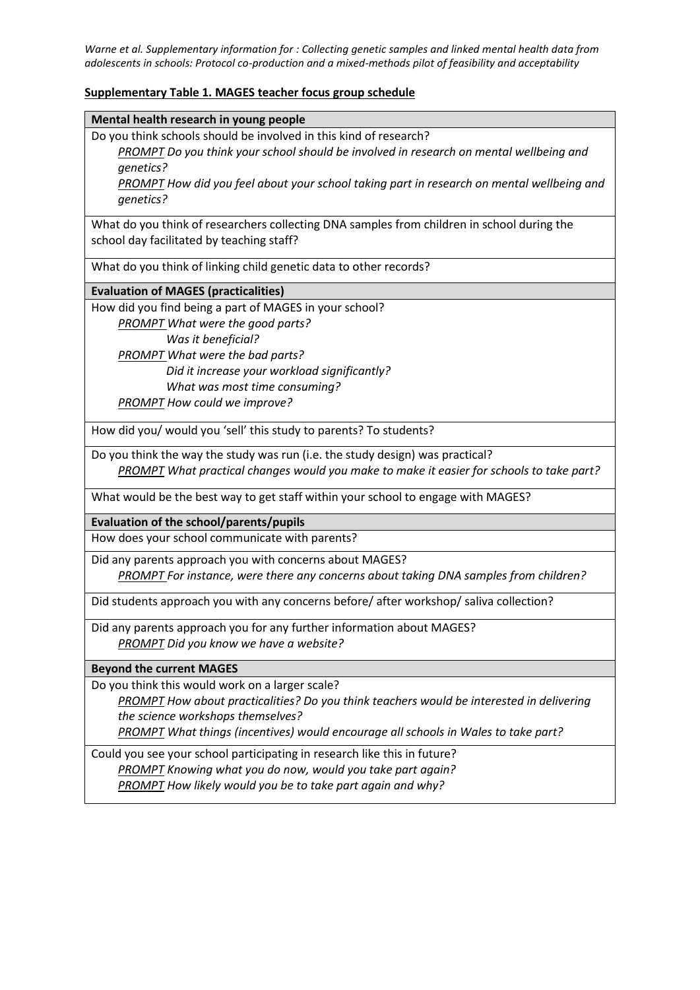*Warne et al. Supplementary information for : Collecting genetic samples and linked mental health data from adolescents in schools: Protocol co-production and a mixed-methods pilot of feasibility and acceptability*

## **Supplementary Table 1. MAGES teacher focus group schedule**

Do you think schools should be involved in this kind of research?

*PROMPT Do you think your school should be involved in research on mental wellbeing and genetics?* 

*PROMPT How did you feel about your school taking part in research on mental wellbeing and genetics?*

What do you think of researchers collecting DNA samples from children in school during the school day facilitated by teaching staff?

What do you think of linking child genetic data to other records?

## **Evaluation of MAGES (practicalities)**

How did you find being a part of MAGES in your school? *PROMPT What were the good parts?*

 *Was it beneficial? PROMPT What were the bad parts? Did it increase your workload significantly? What was most time consuming? PROMPT How could we improve?*

How did you/ would you 'sell' this study to parents? To students?

Do you think the way the study was run (i.e. the study design) was practical? *PROMPT What practical changes would you make to make it easier for schools to take part?*

What would be the best way to get staff within your school to engage with MAGES?

**Evaluation of the school/parents/pupils**

How does your school communicate with parents?

Did any parents approach you with concerns about MAGES? *PROMPT For instance, were there any concerns about taking DNA samples from children?*

Did students approach you with any concerns before/ after workshop/ saliva collection?

Did any parents approach you for any further information about MAGES? *PROMPT Did you know we have a website?*

**Beyond the current MAGES**

Do you think this would work on a larger scale?

*PROMPT How about practicalities? Do you think teachers would be interested in delivering the science workshops themselves?* 

*PROMPT What things (incentives) would encourage all schools in Wales to take part?*

Could you see your school participating in research like this in future? *PROMPT Knowing what you do now, would you take part again? PROMPT How likely would you be to take part again and why?*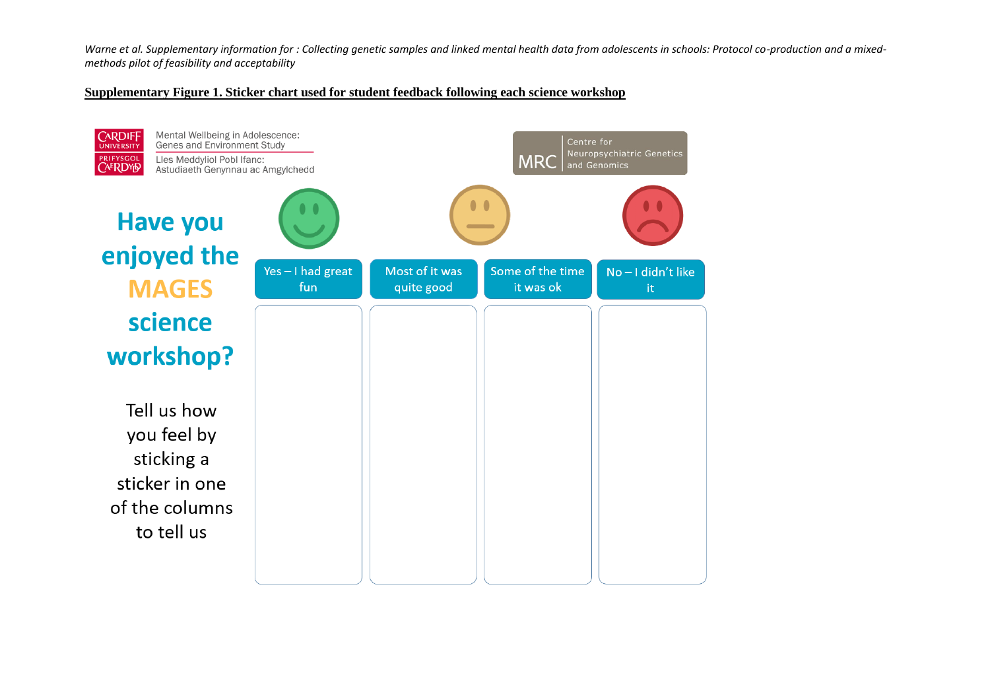Warne et al. Supplementary information for : Collecting genetic samples and linked mental health data from adolescents in schools: Protocol co-production and a mixed*methods pilot of feasibility and acceptability*

## **Supplementary Figure 1. Sticker chart used for student feedback following each science workshop**